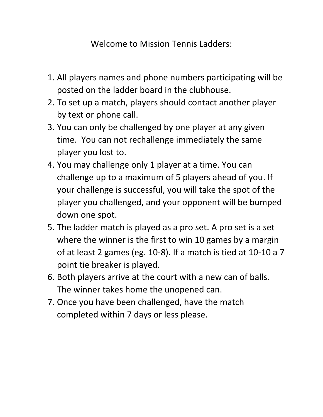Welcome to Mission Tennis Ladders:

- 1. All players names and phone numbers participating will be posted on the ladder board in the clubhouse.
- 2. To set up a match, players should contact another player by text or phone call.
- 3. You can only be challenged by one player at any given time. You can not rechallenge immediately the same player you lost to.
- 4. You may challenge only 1 player at a time. You can challenge up to a maximum of 5 players ahead of you. If your challenge is successful, you will take the spot of the player you challenged, and your opponent will be bumped down one spot.
- 5. The ladder match is played as a pro set. A pro set is a set where the winner is the first to win 10 games by a margin of at least 2 games (eg. 10-8). If a match is tied at 10-10 a 7 point tie breaker is played.
- 6. Both players arrive at the court with a new can of balls. The winner takes home the unopened can.
- 7. Once you have been challenged, have the match completed within 7 days or less please.